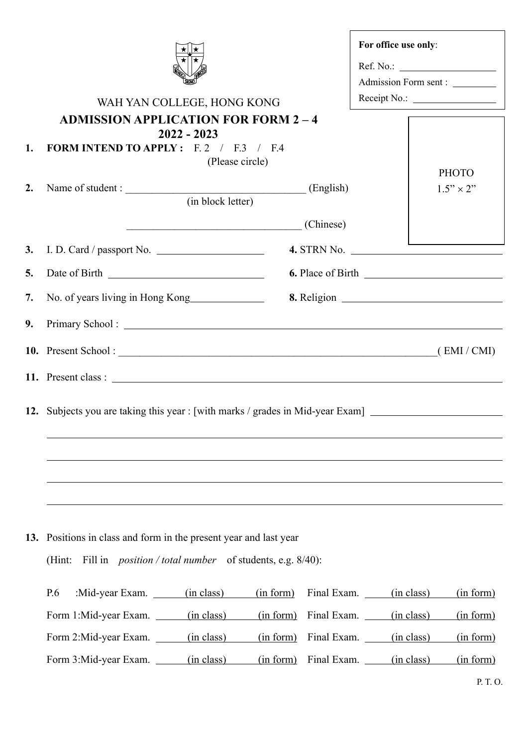|     |                                                                                                                                                     |                   |           |                        | For office use only:           |                  |  |
|-----|-----------------------------------------------------------------------------------------------------------------------------------------------------|-------------------|-----------|------------------------|--------------------------------|------------------|--|
|     |                                                                                                                                                     |                   |           |                        |                                |                  |  |
|     |                                                                                                                                                     |                   |           |                        | Admission Form sent : ________ |                  |  |
|     | WAH YAN COLLEGE, HONG KONG                                                                                                                          |                   |           |                        |                                |                  |  |
|     | <b>ADMISSION APPLICATION FOR FORM 2-4</b>                                                                                                           | $2022 - 2023$     |           |                        |                                |                  |  |
| 1.  | <b>FORM INTEND TO APPLY:</b> $F.2 / F.3 / F.4$                                                                                                      | (Please circle)   |           |                        |                                |                  |  |
|     |                                                                                                                                                     |                   |           |                        |                                | <b>PHOTO</b>     |  |
| 2.  | Name of student : (English) (English)                                                                                                               | (in block letter) |           |                        |                                | $1.5" \times 2"$ |  |
|     |                                                                                                                                                     | (Chinese)         |           |                        |                                |                  |  |
|     |                                                                                                                                                     |                   |           |                        |                                |                  |  |
|     | 3. I. D. Card / passport No. $\qquad \qquad$                                                                                                        |                   |           |                        |                                |                  |  |
| 5.  |                                                                                                                                                     |                   |           |                        |                                |                  |  |
| 7.  | No. of years living in Hong Kong                                                                                                                    |                   |           |                        |                                |                  |  |
| 9.  |                                                                                                                                                     |                   |           |                        |                                |                  |  |
|     | 10. Present School: (EMI/CMI)                                                                                                                       |                   |           |                        |                                |                  |  |
|     |                                                                                                                                                     |                   |           |                        |                                |                  |  |
|     |                                                                                                                                                     |                   |           |                        |                                |                  |  |
|     | 12. Subjects you are taking this year : [with marks / grades in Mid-year Exam] _____________________                                                |                   |           |                        |                                |                  |  |
|     |                                                                                                                                                     |                   |           |                        |                                |                  |  |
|     |                                                                                                                                                     |                   |           |                        |                                |                  |  |
|     |                                                                                                                                                     |                   |           |                        |                                |                  |  |
|     |                                                                                                                                                     |                   |           |                        |                                |                  |  |
| 13. | Positions in class and form in the present year and last year<br>Fill in <i>position</i> / <i>total number</i> of students, e.g. $8/40$ :<br>(Hint: |                   |           |                        |                                |                  |  |
|     |                                                                                                                                                     |                   |           |                        |                                |                  |  |
|     | :Mid-year Exam. ______(in class)<br>P.6                                                                                                             |                   | (in form) | Final Exam. (in class) |                                | (in form)        |  |
|     | Form 1:Mid-year Exam. (in class)                                                                                                                    |                   | (in form) | Final Exam. (in class) |                                | (in form)        |  |
|     | Form 2:Mid-year Exam. _______(in class)                                                                                                             |                   | (in form) | Final Exam. (in class) |                                | (in form)        |  |
|     | Form 3:Mid-year Exam. ______(in class)                                                                                                              |                   | (in form) | Final Exam. (in class) |                                | (in form)        |  |